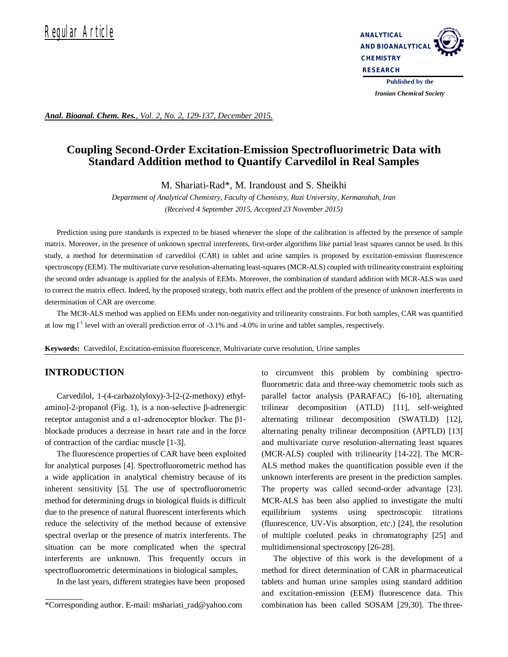

*Iranian Chemical Society* 

*Anal. Bioanal. Chem. Res., Vol. 2, No. 2, 129-137, December 2015.*

# **Coupling Second-Order Excitation-Emission Spectrofluorimetric Data with Standard Addition method to Quantify Carvedilol in Real Samples**

M. Shariati-Rad\*, M. Irandoust and S. Sheikhi

*Department of Analytical Chemistry, Faculty of Chemistry, Razi University, Kermanshah, Iran (Received 4 September 2015, Accepted 23 November 2015)*

Prediction using pure standards is expected to be biased whenever the slope of the calibration is affected by the presence of sample matrix. Moreover, in the presence of unknown spectral interferents, first-order algorithms like partial least squares cannot be used. In this study, a method for determination of carvedilol (CAR) in tablet and urine samples is proposed by excitation-emission fluorescence spectroscopy (EEM). The multivariate curve resolution-alternating least-squares (MCR-ALS) coupled with trilinearity constraint exploiting the second order advantage is applied for the analysis of EEMs. Moreover, the combination of standard addition with MCR-ALS was used to correct the matrix effect. Indeed, by the proposed strategy, both matrix effect and the problem of the presence of unknown interferents in determination of CAR are overcome.

The MCR-ALS method was applied on EEMs under non-negativity and trilinearity constraints. For both samples, CAR was quantified at low mg l<sup>-1</sup> level with an overall prediction error of -3.1% and -4.0% in urine and tablet samples, respectively.

**Keywords:** Carvedilol, Excitation-emission fluorescence, Multivariate curve resolution, Urine samples

## **INTRODUCTION**

Carvedilol, 1-(4-carbazolyloxy)-3-[2-(2-methoxy) ethylamino]-2-propanol (Fig. 1), is a non-selective β-adrenergic receptor antagonist and a α1-adrenoceptor blocker. The β1 blockade produces a decrease in heart rate and in the force of contraction of the cardiac muscle [1-3].

The fluorescence properties of CAR have been exploited for analytical purposes [4]. Spectrofluorometric method has a wide application in analytical chemistry because of its inherent sensitivity [5]. The use of spectrofluorometric method for determining drugs in biological fluids is difficult due to the presence of natural fluorescent interferents which reduce the selectivity of the method because of extensive spectral overlap or the presence of matrix interferents. The situation can be more complicated when the spectral interferents are unknown. This frequently occurs in spectrofluorometric determinations in biological samples.

In the last years, different strategies have been proposed

to circumvent this problem by combining spectrofluorometric data and three-way chemometric tools such as parallel factor analysis (PARAFAC) [6-10], alternating trilinear decomposition (ATLD) [11], self-weighted alternating trilinear decomposition (SWATLD) [12], alternating penalty trilinear decomposition (APTLD) [13] and multivariate curve resolution-alternating least squares (MCR-ALS) coupled with trilinearity [14-22]. The MCR-ALS method makes the quantification possible even if the unknown interferents are present in the prediction samples. The property was called second-order advantage [23]. MCR-ALS has been also applied to investigate the multi equilibrium systems using spectroscopic titrations (fluorescence, UV-Vis absorption, *etc*.) [24], the resolution of multiple coeluted peaks in chromatography [25] and multidimensional spectroscopy [26-28].

The objective of this work is the development of a method for direct determination of CAR in pharmaceutical tablets and human urine samples using standard addition and excitation-emission (EEM) fluorescence data. This combination has been called SOSAM [29,30]. The three-

<sup>\*</sup>Corresponding author. E-mail: mshariati\_rad@yahoo.com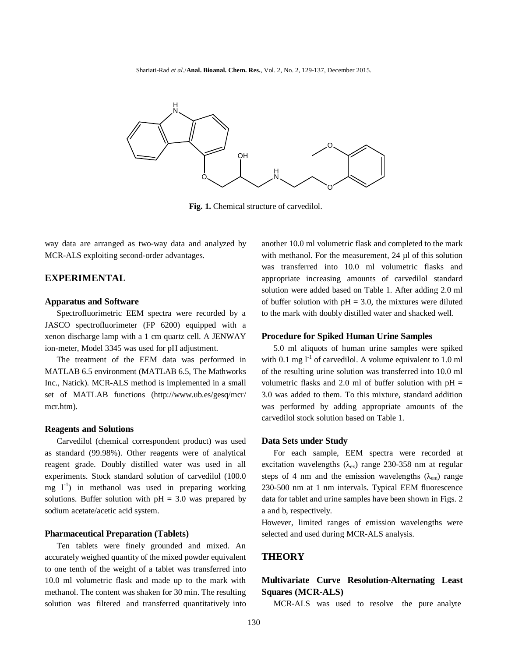Shariati-Rad *et al*./**Anal. Bioanal. Chem. Res.**, Vol. 2, No. 2, 129-137, December 2015.



Fig. 1. Chemical structure of carvedilol.

way data are arranged as two-way data and analyzed by MCR-ALS exploiting second-order advantages.

## **EXPERIMENTAL**

#### **Apparatus and Software**

Spectrofluorimetric EEM spectra were recorded by a JASCO spectrofluorimeter (FP 6200) equipped with a xenon discharge lamp with a 1 cm quartz cell. A JENWAY ion-meter, Model 3345 was used for pH adjustment.

The treatment of the EEM data was performed in MATLAB 6.5 environment (MATLAB 6.5, The Mathworks Inc., Natick). MCR-ALS method is implemented in a small set of MATLAB functions (http://www.ub.es/gesq/mcr/ mcr.htm).

#### **Reagents and Solutions**

Carvedilol (chemical correspondent product) was used as standard (99.98%). Other reagents were of analytical reagent grade. Doubly distilled water was used in all experiments. Stock standard solution of carvedilol (100.0 mg  $1^{-1}$ ) in methanol was used in preparing working solutions. Buffer solution with  $pH = 3.0$  was prepared by sodium acetate/acetic acid system.

## **Pharmaceutical Preparation (Tablets)**

Ten tablets were finely grounded and mixed. An accurately weighed quantity of the mixed powder equivalent to one tenth of the weight of a tablet was transferred into 10.0 ml volumetric flask and made up to the mark with methanol. The content was shaken for 30 min. The resulting solution was filtered and transferred quantitatively into another 10.0 ml volumetric flask and completed to the mark with methanol. For the measurement, 24  $\mu$ l of this solution was transferred into 10.0 ml volumetric flasks and appropriate increasing amounts of carvedilol standard solution were added based on Table 1. After adding 2.0 ml of buffer solution with  $pH = 3.0$ , the mixtures were diluted to the mark with doubly distilled water and shacked well.

#### **Procedure for Spiked Human Urine Samples**

5.0 ml aliquots of human urine samples were spiked with 0.1 mg  $l^{-1}$  of carvedilol. A volume equivalent to 1.0 ml of the resulting urine solution was transferred into 10.0 ml volumetric flasks and 2.0 ml of buffer solution with  $pH =$ 3.0 was added to them. To this mixture, standard addition was performed by adding appropriate amounts of the carvedilol stock solution based on Table 1.

#### **Data Sets under Study**

For each sample, EEM spectra were recorded at excitation wavelengths ( $\lambda_{ex}$ ) range 230-358 nm at regular steps of 4 nm and the emission wavelengths  $(\lambda_{em})$  range 230-500 nm at 1 nm intervals. Typical EEM fluorescence data for tablet and urine samples have been shown in Figs. 2 a and b, respectively.

However, limited ranges of emission wavelengths were selected and used during MCR-ALS analysis.

## **THEORY**

## **Multivariate Curve Resolution-Alternating Least Squares (MCR-ALS)**

MCR-ALS was used to resolve the pure analyte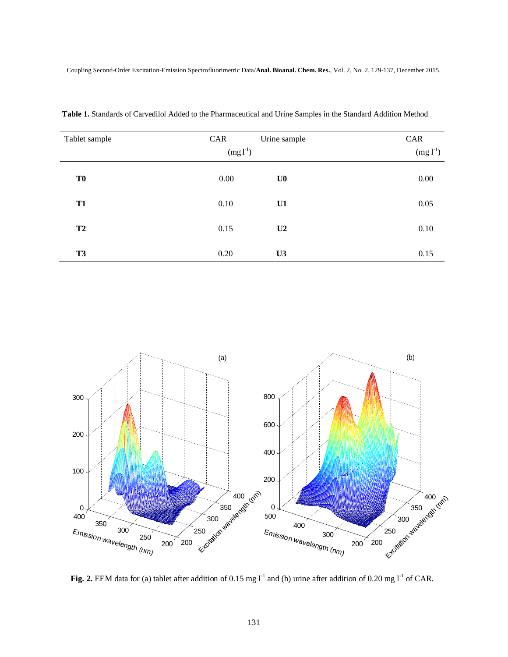| Tablet sample  | CAR        | Urine sample   | CAR           |
|----------------|------------|----------------|---------------|
|                | $(mg l-1)$ |                | $(mg l^{-1})$ |
| T <sub>0</sub> | 0.00       | U <sub>0</sub> | 0.00          |
| <b>T1</b>      | 0.10       | U1             | 0.05          |
| T2             | 0.15       | U2             | 0.10          |
| <b>T3</b>      | 0.20       | U3             | 0.15          |

 **Table 1.** Standards of Carvedilol Added to the Pharmaceutical and Urine Samples in the Standard Addition Method



**Fig. 2.** EEM data for (a) tablet after addition of 0.15 mg  $I<sup>-1</sup>$  and (b) urine after addition of 0.20 mg  $I<sup>-1</sup>$  of CAR.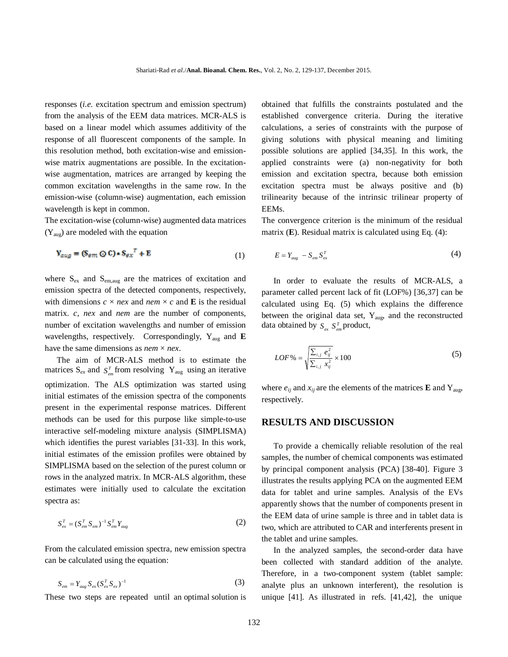responses (*i.e.* excitation spectrum and emission spectrum) from the analysis of the EEM data matrices. MCR-ALS is based on a linear model which assumes additivity of the response of all fluorescent components of the sample. In this resolution method, both excitation-wise and emissionwise matrix augmentations are possible. In the excitationwise augmentation, matrices are arranged by keeping the common excitation wavelengths in the same row. In the emission-wise (column-wise) augmentation, each emission wavelength is kept in common.

The excitation-wise (column-wise) augmented data matrices  $(Y_{aug})$  are modeled with the equation

$$
\mathbf{Y}_{aug} = (\mathbf{S}_{em} \odot \mathbf{C}) \cdot \mathbf{S}_{ex}^T + \mathbf{E}
$$
 (1)

where  $S_{\text{ex}}$  and  $S_{\text{em,aug}}$  are the matrices of excitation and emission spectra of the detected components, respectively, with dimensions  $c \times nex$  and  $nem \times c$  and **E** is the residual matrix. *c*, *nex* and *nem* are the number of components, number of excitation wavelengths and number of emission wavelengths, respectively. Correspondingly, Yaug and **E** have the same dimensions as *nem* × *nex*.

The aim of MCR-ALS method is to estimate the matrices  $S_{ex}$  and  $S_{em}^T$  from resolving  $Y_{aug}$  using an iterative optimization. The ALS optimization was started using initial estimates of the emission spectra of the components present in the experimental response matrices. Different methods can be used for this purpose like simple-to-use interactive self-modeling mixture analysis (SIMPLISMA) which identifies the purest variables [31-33]. In this work, initial estimates of the emission profiles were obtained by SIMPLISMA based on the selection of the purest column or rows in the analyzed matrix. In MCR-ALS algorithm, these estimates were initially used to calculate the excitation spectra as:

$$
S_{ex}^{T} = (S_{em}^{T} S_{em})^{-1} S_{em}^{T} Y_{aug}
$$
 (2)

From the calculated emission spectra, new emission spectra can be calculated using the equation:

$$
S_{em} = Y_{aug} S_{ex} (S_{ex}^T S_{ex})^{-1}
$$
 (3)

These two steps are repeated until an optimal solution is

obtained that fulfills the constraints postulated and the established convergence criteria. During the iterative calculations, a series of constraints with the purpose of giving solutions with physical meaning and limiting possible solutions are applied [34,35]. In this work, the applied constraints were (a) non-negativity for both emission and excitation spectra, because both emission excitation spectra must be always positive and (b) trilinearity because of the intrinsic trilinear property of EEMs.

The convergence criterion is the minimum of the residual matrix (**E**). Residual matrix is calculated using Eq. (4):

$$
E = Y_{aug} - S_{em} S_{ex}^T
$$
 (4)

In order to evaluate the results of MCR-ALS, a parameter called percent lack of fit (LOF%) [36,37] can be calculated using Eq. (5) which explains the difference between the original data set,  $Y_{\text{aug}}$ , and the reconstructed data obtained by  $S_{ex} S_{em}^T$  product,

$$
LOF\% = \sqrt{\frac{\sum_{i,j} e_{ij}^2}{\sum_{i,j} x_{ij}^2}} \times 100
$$
 (5)

where  $e_{ij}$  and  $x_{ij}$  are the elements of the matrices **E** and Y<sub>aug</sub>, respectively.

## **RESULTS AND DISCUSSION**

To provide a chemically reliable resolution of the real samples, the number of chemical components was estimated by principal component analysis (PCA) [38-40]. Figure 3 illustrates the results applying PCA on the augmented EEM data for tablet and urine samples. Analysis of the EVs apparently shows that the number of components present in the EEM data of urine sample is three and in tablet data is two, which are attributed to CAR and interferents present in the tablet and urine samples.

In the analyzed samples, the second-order data have been collected with standard addition of the analyte. Therefore, in a two-component system (tablet sample: analyte plus an unknown interferent), the resolution is unique [41]. As illustrated in refs. [41,42], the unique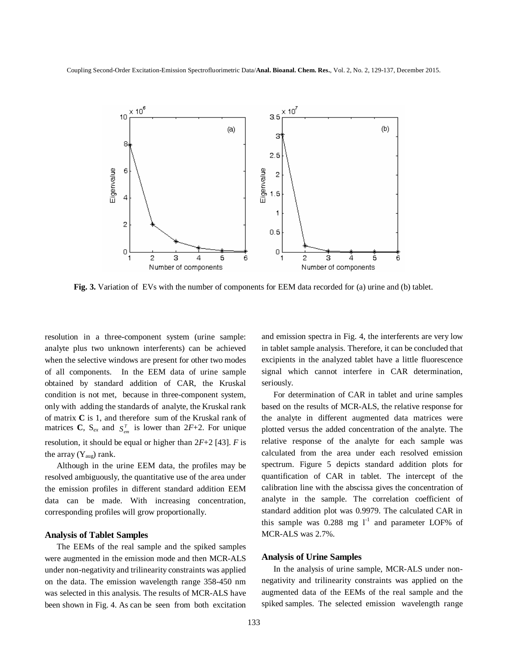

**Fig. 3.** Variation of EVs with the number of components for EEM data recorded for (a) urine and (b) tablet.

resolution in a three-component system (urine sample: analyte plus two unknown interferents) can be achieved when the selective windows are present for other two modes of all components. In the EEM data of urine sample obtained by standard addition of CAR, the Kruskal condition is not met, because in three-component system, only with adding the standards of analyte, the Kruskal rank of matrix **C** is 1, and therefore sum of the Kruskal rank of matrices **C**,  $S_{ex}$  and  $S_{em}^T$  is lower than 2*F*+2. For unique resolution, it should be equal or higher than 2*F*+2 [43]. *F* is the array  $(Y_{aug})$  rank.

Although in the urine EEM data, the profiles may be resolved ambiguously, the quantitative use of the area under the emission profiles in different standard addition EEM data can be made. With increasing concentration, corresponding profiles will grow proportionally.

## **Analysis of Tablet Samples**

The EEMs of the real sample and the spiked samples were augmented in the emission mode and then MCR-ALS under non-negativity and trilinearity constraints was applied on the data. The emission wavelength range 358-450 nm was selected in this analysis. The results of MCR-ALS have been shown in Fig. 4. As can be seen from both excitation

and emission spectra in Fig. 4, the interferents are very low in tablet sample analysis. Therefore, it can be concluded that excipients in the analyzed tablet have a little fluorescence signal which cannot interfere in CAR determination, seriously.

For determination of CAR in tablet and urine samples based on the results of MCR-ALS, the relative response for the analyte in different augmented data matrices were plotted versus the added concentration of the analyte. The relative response of the analyte for each sample was calculated from the area under each resolved emission spectrum. Figure 5 depicts standard addition plots for quantification of CAR in tablet. The intercept of the calibration line with the abscissa gives the concentration of analyte in the sample. The correlation coefficient of standard addition plot was 0.9979. The calculated CAR in this sample was  $0.288$  mg  $1^{-1}$  and parameter LOF% of MCR-ALS was 2.7%.

## **Analysis of Urine Samples**

In the analysis of urine sample, MCR-ALS under nonnegativity and trilinearity constraints was applied on the augmented data of the EEMs of the real sample and the spiked samples. The selected emission wavelength range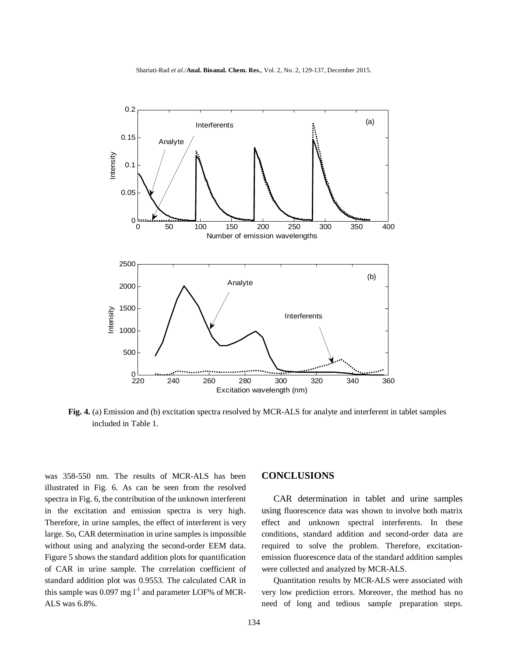

**Fig. 4.** (a) Emission and (b) excitation spectra resolved by MCR-ALS for analyte and interferent in tablet samples included in Table 1.

was 358-550 nm. The results of MCR-ALS has been illustrated in Fig. 6. As can be seen from the resolved spectra in Fig. 6, the contribution of the unknown interferent in the excitation and emission spectra is very high. Therefore, in urine samples, the effect of interferent is very large. So, CAR determination in urine samples is impossible without using and analyzing the second-order EEM data. Figure 5 shows the standard addition plots for quantification of CAR in urine sample. The correlation coefficient of standard addition plot was 0.9553. The calculated CAR in this sample was 0.097 mg  $l^{-1}$  and parameter LOF% of MCR-ALS was 6.8%.

## **CONCLUSIONS**

CAR determination in tablet and urine samples using fluorescence data was shown to involve both matrix effect and unknown spectral interferents. In these conditions, standard addition and second-order data are required to solve the problem. Therefore, excitationemission fluorescence data of the standard addition samples were collected and analyzed by MCR-ALS.

Quantitation results by MCR-ALS were associated with very low prediction errors. Moreover, the method has no need of long and tedious sample preparation steps.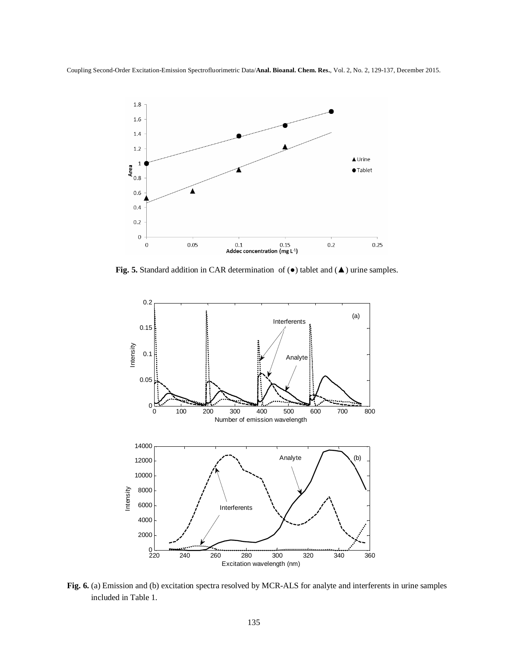

**Fig. 5.** Standard addition in CAR determination of (●) tablet and (▲) urine samples.



**Fig. 6.** (a) Emission and (b) excitation spectra resolved by MCR-ALS for analyte and interferents in urine samples included in Table 1.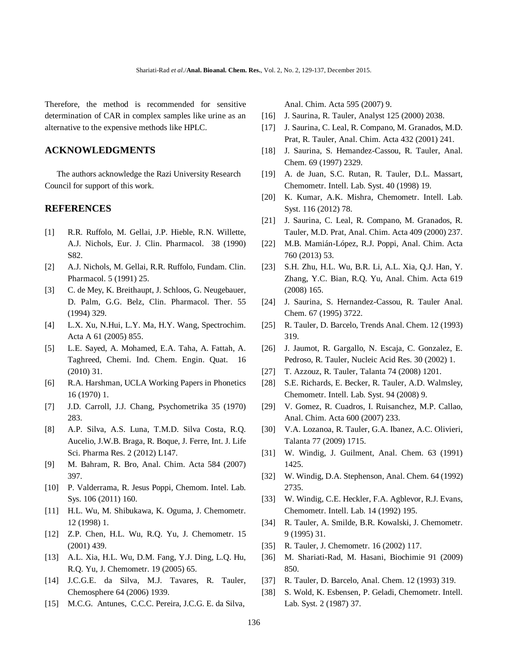Therefore, the method is recommended for sensitive determination of CAR in complex samples like urine as an alternative to the expensive methods like HPLC.

## **ACKNOWLEDGMENTS**

The authors acknowledge the Razi University Research Council for support of this work.

## **REFERENCES**

- [1] R.R. Ruffolo, M. Gellai, J.P. Hieble, R.N. Willette, A.J. Nichols, Eur. J. Clin. Pharmacol. 38 (1990) S82.
- [2] A.J. Nichols, M. Gellai, R.R. Ruffolo, Fundam. Clin. Pharmacol. 5 (1991) 25.
- [3] C. de Mey, K. Breithaupt, J. Schloos, G. Neugebauer, D. Palm, G.G. Belz, Clin. Pharmacol. Ther. 55 (1994) 329.
- [4] L.X. Xu, N.Hui, L.Y. Ma, H.Y. Wang, Spectrochim. Acta A 61 (2005) 855.
- [5] L.E. Sayed, A. Mohamed, E.A. Taha, A. Fattah, A. Taghreed, Chemi. Ind. Chem. Engin. Quat. 16 (2010) 31.
- [6] R.A. Harshman, UCLA Working Papers in Phonetics 16 (1970) 1.
- [7] J.D. Carroll, J.J. Chang, Psychometrika 35 (1970) 283.
- [8] A.P. Silva, A.S. Luna, T.M.D. Silva Costa, R.Q. Aucelio, J.W.B. Braga, R. Boque, J. Ferre, Int. J. Life Sci. Pharma Res. 2 (2012) L147.
- [9] M. Bahram, R. Bro, Anal. Chim. Acta 584 (2007) 397.
- [10] P. Valderrama, R. Jesus Poppi, Chemom. Intel. Lab. Sys. 106 (2011) 160.
- [11] H.L. Wu, M. Shibukawa, K. Oguma, J. Chemometr. 12 (1998) 1.
- [12] Z.P. Chen, H.L. Wu, R.Q. Yu, J. Chemometr. 15 (2001) 439.
- [13] A.L. Xia, H.L. Wu, D.M. Fang, Y.J. Ding, L.Q. Hu, R.Q. Yu, J. Chemometr. 19 (2005) 65.
- [14] J.C.G.E. da Silva, M.J. Tavares, R. Tauler, Chemosphere 64 (2006) 1939.
- [15] M.C.G. Antunes, C.C.C. Pereira, J.C.G. E. da Silva,

Anal. Chim. Acta 595 (2007) 9.

- [16] J. Saurina, R. Tauler, Analyst 125 (2000) 2038.
- [17] J. Saurina, C. Leal, R. Compano, M. Granados, M.D. Prat, R. Tauler, Anal. Chim. Acta 432 (2001) 241.
- [18] J. Saurina, S. Hemandez-Cassou, R. Tauler, Anal. Chem. 69 (1997) 2329.
- [19] A. de Juan, S.C. Rutan, R. Tauler, D.L. Massart, Chemometr. Intell. Lab. Syst. 40 (1998) 19.
- [20] K. Kumar, A.K. Mishra, Chemometr. Intell. Lab. Syst. 116 (2012) 78.
- [21] J. Saurina, C. Leal, R. Compano, M. Granados, R. Tauler, M.D. Prat, Anal. Chim. Acta 409 (2000) 237.
- [22] M.B. Mamián-López, R.J. Poppi, Anal. Chim. Acta 760 (2013) 53.
- [23] S.H. Zhu, H.L. Wu, B.R. Li, A.L. Xia, Q.J. Han, Y. Zhang, Y.C. Bian, R.Q. Yu, Anal. Chim. Acta 619 (2008) 165.
- [24] J. Saurina, S. Hernandez-Cassou, R. Tauler Anal. Chem. 67 (1995) 3722.
- [25] R. Tauler, D. Barcelo, Trends Anal. Chem. 12 (1993) 319.
- [26] J. Jaumot, R. Gargallo, N. Escaja, C. Gonzalez, E. Pedroso, R. Tauler, Nucleic Acid Res. 30 (2002) 1.
- [27] T. Azzouz, R. Tauler, Talanta 74 (2008) 1201.
- [28] S.E. Richards, E. Becker, R. Tauler, A.D. Walmsley, Chemometr. Intell. Lab. Syst. 94 (2008) 9.
- [29] V. Gomez, R. Cuadros, I. Ruisanchez, M.P. Callao, Anal. Chim. Acta 600 (2007) 233.
- [30] V.A. Lozanoa, R. Tauler, G.A. Ibanez, A.C. Olivieri, Talanta 77 (2009) 1715.
- [31] W. Windig, J. Guilment, Anal. Chem. 63 (1991) 1425.
- [32] W. Windig, D.A. Stephenson, Anal. Chem. 64 (1992) 2735.
- [33] W. Windig, C.E. Heckler, F.A. Agblevor, R.J. Evans, Chemometr. Intell. Lab. 14 (1992) 195.
- [34] R. Tauler, A. Smilde, B.R. Kowalski, J. Chemometr. 9 (1995) 31.
- [35] R. Tauler, J. Chemometr. 16 (2002) 117.
- [36] M. Shariati-Rad, M. Hasani, Biochimie 91 (2009) 850.
- [37] R. Tauler, D. Barcelo, Anal. Chem. 12 (1993) 319.
- [38] S. Wold, K. Esbensen, P. Geladi, Chemometr. Intell. Lab. Syst. 2 (1987) 37.